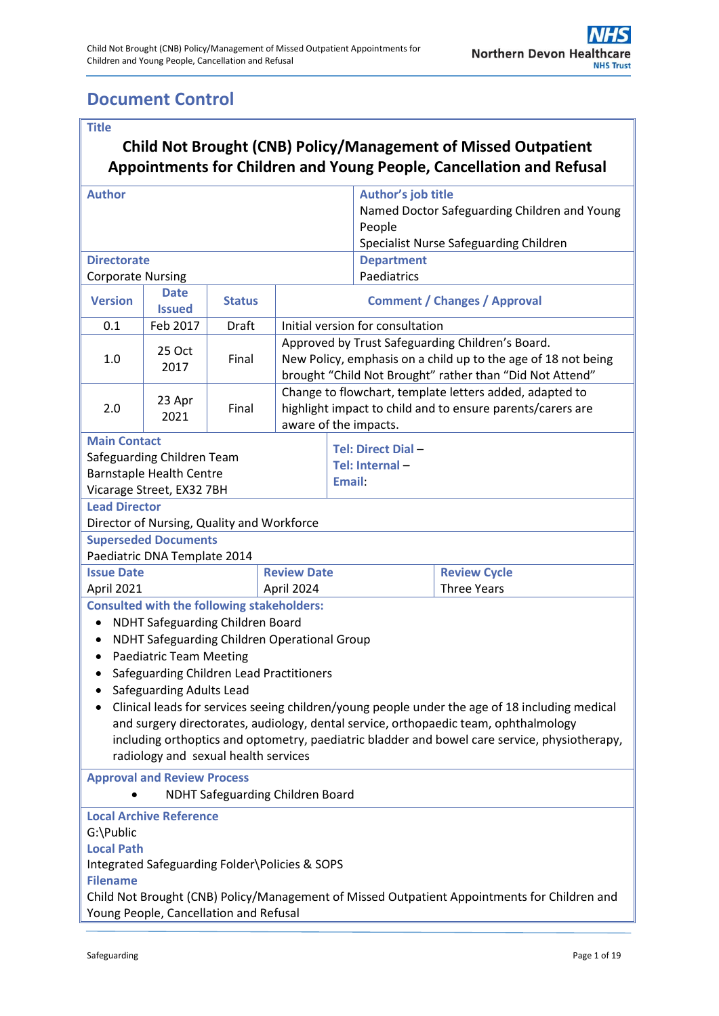## <span id="page-0-0"></span>**Document Control**

| <b>Title</b>                                                                                                                                                                                                                                                                                                                                                                                                                                                                                                                                                                                                |                                                             |               |                                  |                                                                                                                                                                               |                                     |                                           |  |
|-------------------------------------------------------------------------------------------------------------------------------------------------------------------------------------------------------------------------------------------------------------------------------------------------------------------------------------------------------------------------------------------------------------------------------------------------------------------------------------------------------------------------------------------------------------------------------------------------------------|-------------------------------------------------------------|---------------|----------------------------------|-------------------------------------------------------------------------------------------------------------------------------------------------------------------------------|-------------------------------------|-------------------------------------------|--|
| <b>Child Not Brought (CNB) Policy/Management of Missed Outpatient</b><br>Appointments for Children and Young People, Cancellation and Refusal                                                                                                                                                                                                                                                                                                                                                                                                                                                               |                                                             |               |                                  |                                                                                                                                                                               |                                     |                                           |  |
| <b>Author</b>                                                                                                                                                                                                                                                                                                                                                                                                                                                                                                                                                                                               |                                                             |               |                                  | Author's job title<br>Named Doctor Safeguarding Children and Young<br>People<br>Specialist Nurse Safeguarding Children                                                        |                                     |                                           |  |
| <b>Directorate</b>                                                                                                                                                                                                                                                                                                                                                                                                                                                                                                                                                                                          |                                                             |               |                                  |                                                                                                                                                                               | <b>Department</b>                   |                                           |  |
| <b>Corporate Nursing</b>                                                                                                                                                                                                                                                                                                                                                                                                                                                                                                                                                                                    |                                                             |               |                                  |                                                                                                                                                                               | Paediatrics                         |                                           |  |
| <b>Version</b>                                                                                                                                                                                                                                                                                                                                                                                                                                                                                                                                                                                              | <b>Date</b><br><b>Issued</b>                                | <b>Status</b> |                                  |                                                                                                                                                                               | <b>Comment / Changes / Approval</b> |                                           |  |
| 0.1                                                                                                                                                                                                                                                                                                                                                                                                                                                                                                                                                                                                         | Feb 2017                                                    | Draft         |                                  |                                                                                                                                                                               | Initial version for consultation    |                                           |  |
| 1.0                                                                                                                                                                                                                                                                                                                                                                                                                                                                                                                                                                                                         | 25 Oct<br>2017                                              | Final         |                                  | Approved by Trust Safeguarding Children's Board.<br>New Policy, emphasis on a child up to the age of 18 not being<br>brought "Child Not Brought" rather than "Did Not Attend" |                                     |                                           |  |
| 2.0                                                                                                                                                                                                                                                                                                                                                                                                                                                                                                                                                                                                         | 23 Apr<br>2021                                              | Final         |                                  | Change to flowchart, template letters added, adapted to<br>highlight impact to child and to ensure parents/carers are<br>aware of the impacts.                                |                                     |                                           |  |
| <b>Main Contact</b><br>Safeguarding Children Team<br><b>Barnstaple Health Centre</b><br>Vicarage Street, EX32 7BH                                                                                                                                                                                                                                                                                                                                                                                                                                                                                           |                                                             |               |                                  | <b>Tel: Direct Dial -</b><br>Tel: Internal -<br>Email:                                                                                                                        |                                     |                                           |  |
| <b>Lead Director</b>                                                                                                                                                                                                                                                                                                                                                                                                                                                                                                                                                                                        |                                                             |               |                                  |                                                                                                                                                                               |                                     |                                           |  |
|                                                                                                                                                                                                                                                                                                                                                                                                                                                                                                                                                                                                             | Director of Nursing, Quality and Workforce                  |               |                                  |                                                                                                                                                                               |                                     |                                           |  |
|                                                                                                                                                                                                                                                                                                                                                                                                                                                                                                                                                                                                             | <b>Superseded Documents</b><br>Paediatric DNA Template 2014 |               |                                  |                                                                                                                                                                               |                                     |                                           |  |
| <b>Issue Date</b><br>April 2021                                                                                                                                                                                                                                                                                                                                                                                                                                                                                                                                                                             |                                                             |               | <b>Review Date</b><br>April 2024 |                                                                                                                                                                               |                                     | <b>Review Cycle</b><br><b>Three Years</b> |  |
| <b>Consulted with the following stakeholders:</b><br><b>NDHT Safeguarding Children Board</b><br>$\bullet$<br>NDHT Safeguarding Children Operational Group<br><b>Paediatric Team Meeting</b><br>٠<br>Safeguarding Children Lead Practitioners<br>Safeguarding Adults Lead<br>Clinical leads for services seeing children/young people under the age of 18 including medical<br>and surgery directorates, audiology, dental service, orthopaedic team, ophthalmology<br>including orthoptics and optometry, paediatric bladder and bowel care service, physiotherapy,<br>radiology and sexual health services |                                                             |               |                                  |                                                                                                                                                                               |                                     |                                           |  |
| <b>Approval and Review Process</b><br><b>NDHT Safeguarding Children Board</b>                                                                                                                                                                                                                                                                                                                                                                                                                                                                                                                               |                                                             |               |                                  |                                                                                                                                                                               |                                     |                                           |  |
| <b>Local Archive Reference</b><br>G:\Public<br><b>Local Path</b><br>Integrated Safeguarding Folder\Policies & SOPS<br><b>Filename</b><br>Child Not Brought (CNB) Policy/Management of Missed Outpatient Appointments for Children and<br>Young People, Cancellation and Refusal                                                                                                                                                                                                                                                                                                                             |                                                             |               |                                  |                                                                                                                                                                               |                                     |                                           |  |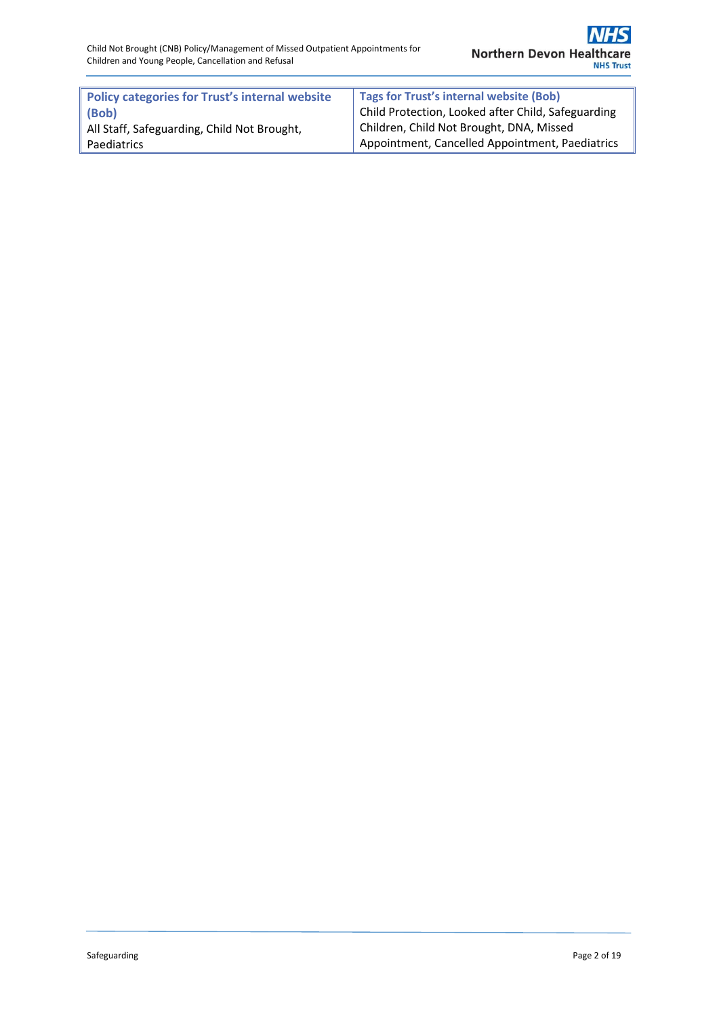| <b>Policy categories for Trust's internal website</b> | Tags for Trust's internal website (Bob)                         |
|-------------------------------------------------------|-----------------------------------------------------------------|
| (Bob)                                                 | <sup>t</sup> Child Protection, Looked after Child, Safeguarding |
| All Staff, Safeguarding, Child Not Brought,           | Children, Child Not Brought, DNA, Missed                        |
| <b>Paediatrics</b>                                    | Appointment, Cancelled Appointment, Paediatrics                 |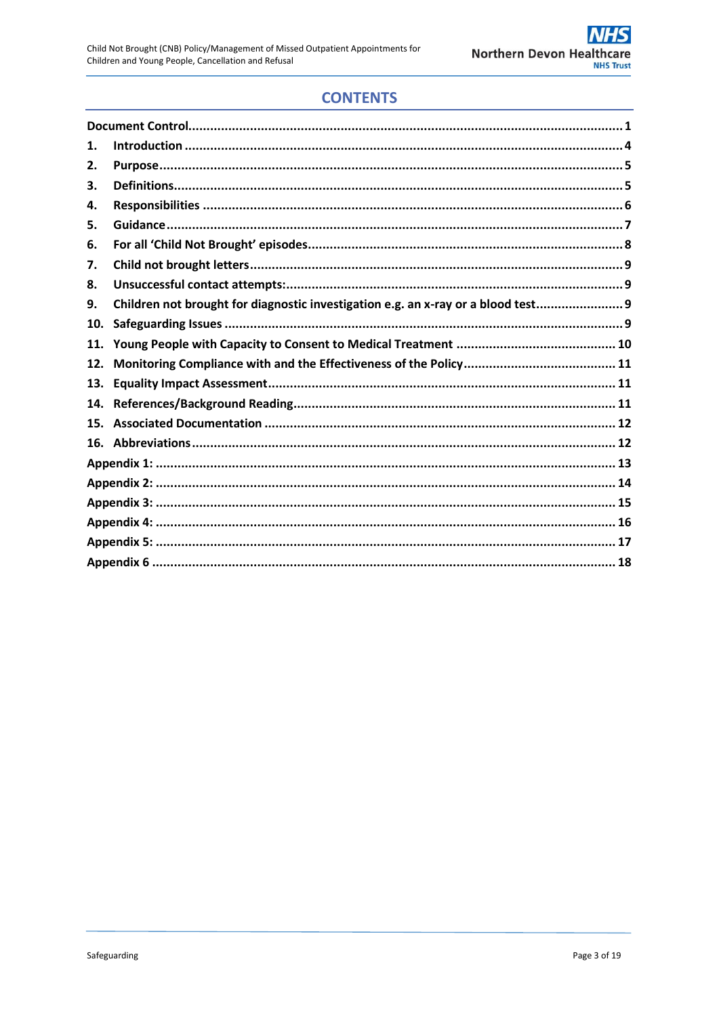## **CONTENTS**

| 1.  |                                                                                   |  |  |  |  |
|-----|-----------------------------------------------------------------------------------|--|--|--|--|
| 2.  |                                                                                   |  |  |  |  |
| З.  |                                                                                   |  |  |  |  |
| 4.  |                                                                                   |  |  |  |  |
| 5.  |                                                                                   |  |  |  |  |
| 6.  |                                                                                   |  |  |  |  |
| 7.  |                                                                                   |  |  |  |  |
| 8.  |                                                                                   |  |  |  |  |
| 9.  | Children not brought for diagnostic investigation e.g. an x-ray or a blood test 9 |  |  |  |  |
| 10. |                                                                                   |  |  |  |  |
| 11. |                                                                                   |  |  |  |  |
| 12. |                                                                                   |  |  |  |  |
| 13. |                                                                                   |  |  |  |  |
| 14. |                                                                                   |  |  |  |  |
| 15. |                                                                                   |  |  |  |  |
|     |                                                                                   |  |  |  |  |
|     |                                                                                   |  |  |  |  |
|     |                                                                                   |  |  |  |  |
|     |                                                                                   |  |  |  |  |
|     |                                                                                   |  |  |  |  |
|     |                                                                                   |  |  |  |  |
|     |                                                                                   |  |  |  |  |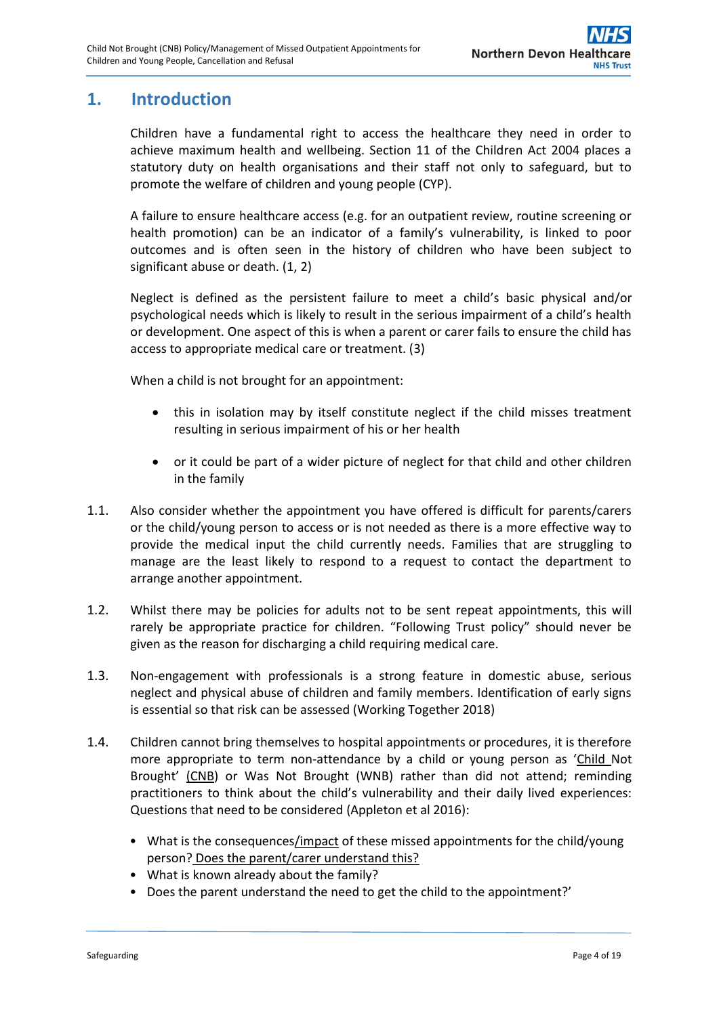## <span id="page-3-0"></span>**1. Introduction**

Children have a fundamental right to access the healthcare they need in order to achieve maximum health and wellbeing. Section 11 of the Children Act 2004 places a statutory duty on health organisations and their staff not only to safeguard, but to promote the welfare of children and young people (CYP).

A failure to ensure healthcare access (e.g. for an outpatient review, routine screening or health promotion) can be an indicator of a family's vulnerability, is linked to poor outcomes and is often seen in the history of children who have been subject to significant abuse or death. [\(1,](#page-10-3) [2\)](#page-10-4)

Neglect is defined as the persistent failure to meet a child's basic physical and/or psychological needs which is likely to result in the serious impairment of a child's health or development. One aspect of this is when a parent or carer fails to ensure the child has access to appropriate medical care or treatment. [\(3\)](#page-10-5)

When a child is not brought for an appointment:

- this in isolation may by itself constitute neglect if the child misses treatment resulting in serious impairment of his or her health
- or it could be part of a wider picture of neglect for that child and other children in the family
- 1.1. Also consider whether the appointment you have offered is difficult for parents/carers or the child/young person to access or is not needed as there is a more effective way to provide the medical input the child currently needs. Families that are struggling to manage are the least likely to respond to a request to contact the department to arrange another appointment.
- 1.2. Whilst there may be policies for adults not to be sent repeat appointments, this will rarely be appropriate practice for children. "Following Trust policy" should never be given as the reason for discharging a child requiring medical care.
- 1.3. Non-engagement with professionals is a strong feature in domestic abuse, serious neglect and physical abuse of children and family members. Identification of early signs is essential so that risk can be assessed (Working Together 2018)
- 1.4. Children cannot bring themselves to hospital appointments or procedures, it is therefore more appropriate to term non-attendance by a child or young person as 'Child Not Brought' (CNB) or Was Not Brought (WNB) rather than did not attend; reminding practitioners to think about the child's vulnerability and their daily lived experiences: Questions that need to be considered (Appleton et al 2016):
	- What is the consequences/impact of these missed appointments for the child/young person? Does the parent/carer understand this?
	- What is known already about the family?
	- Does the parent understand the need to get the child to the appointment?'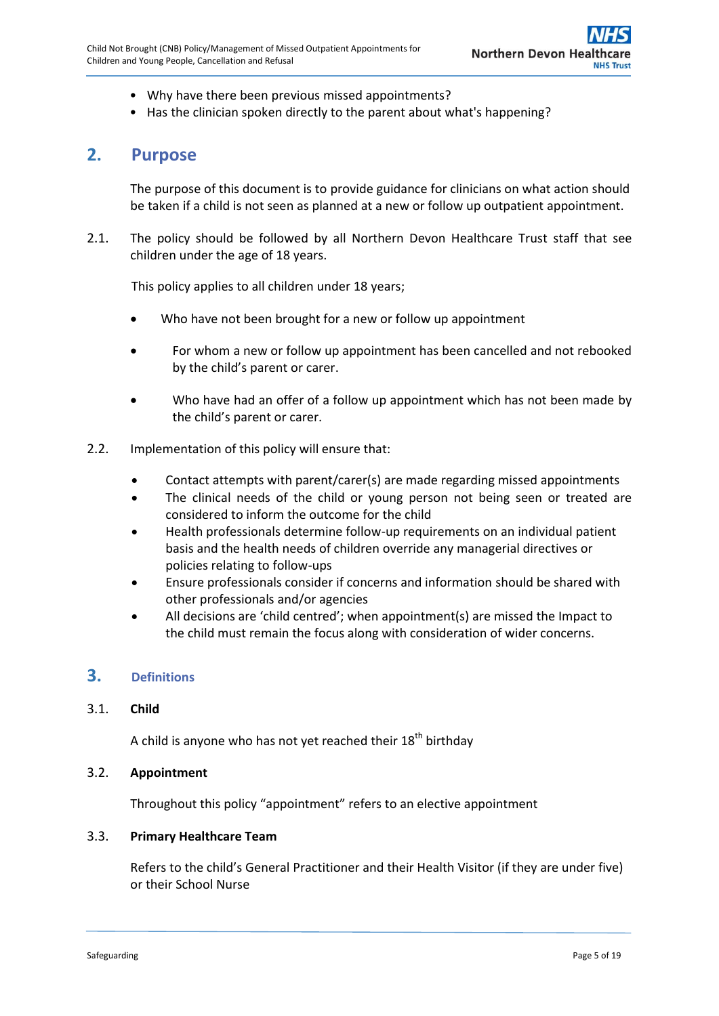- Why have there been previous missed appointments?
- Has the clinician spoken directly to the parent about what's happening?

## <span id="page-4-0"></span>**2. Purpose**

The purpose of this document is to provide guidance for clinicians on what action should be taken if a child is not seen as planned at a new or follow up outpatient appointment.

2.1. The policy should be followed by all Northern Devon Healthcare Trust staff that see children under the age of 18 years.

This policy applies to all children under 18 years;

- Who have not been brought for a new or follow up appointment
- For whom a new or follow up appointment has been cancelled and not rebooked by the child's parent or carer.
- Who have had an offer of a follow up appointment which has not been made by the child's parent or carer.
- 2.2. Implementation of this policy will ensure that:
	- Contact attempts with parent/carer(s) are made regarding missed appointments
	- The clinical needs of the child or young person not being seen or treated are considered to inform the outcome for the child
	- Health professionals determine follow-up requirements on an individual patient basis and the health needs of children override any managerial directives or policies relating to follow-ups
	- Ensure professionals consider if concerns and information should be shared with other professionals and/or agencies
	- All decisions are 'child centred'; when appointment(s) are missed the Impact to the child must remain the focus along with consideration of wider concerns.

## <span id="page-4-1"></span>**3. Definitions**

#### 3.1. **Child**

A child is anyone who has not yet reached their  $18<sup>th</sup>$  birthday

## 3.2. **Appointment**

Throughout this policy "appointment" refers to an elective appointment

#### 3.3. **Primary Healthcare Team**

Refers to the child's General Practitioner and their Health Visitor (if they are under five) or their School Nurse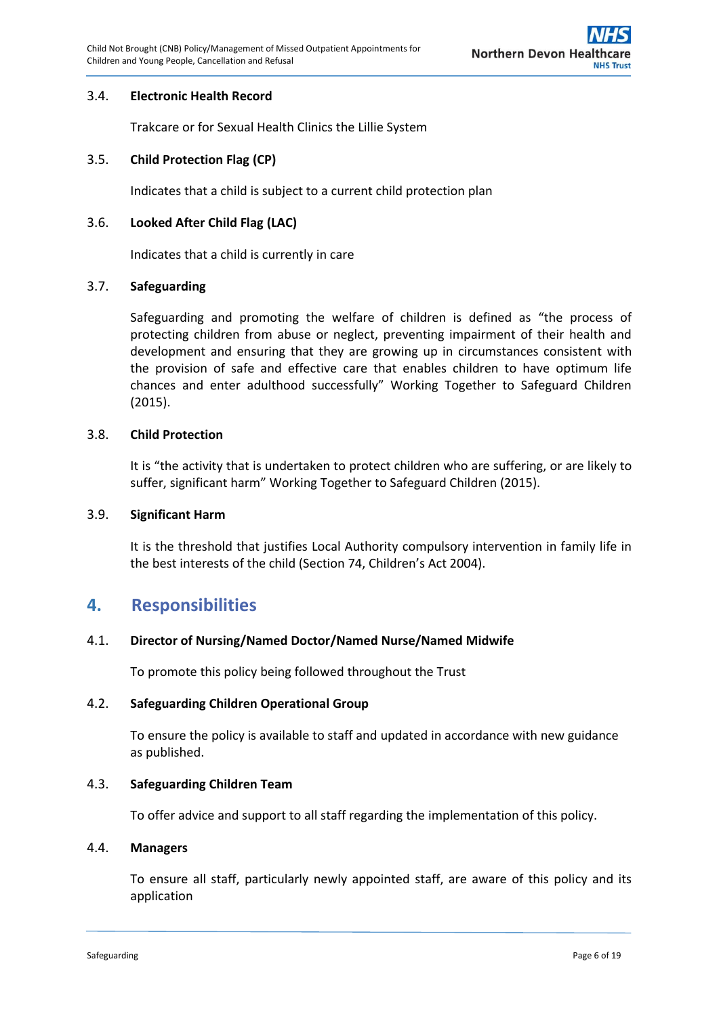## 3.4. **Electronic Health Record**

Trakcare or for Sexual Health Clinics the Lillie System

### 3.5. **Child Protection Flag (CP)**

Indicates that a child is subject to a current child protection plan

### 3.6. **Looked After Child Flag (LAC)**

Indicates that a child is currently in care

#### 3.7. **Safeguarding**

Safeguarding and promoting the welfare of children is defined as "the process of protecting children from abuse or neglect, preventing impairment of their health and development and ensuring that they are growing up in circumstances consistent with the provision of safe and effective care that enables children to have optimum life chances and enter adulthood successfully" Working Together to Safeguard Children (2015).

#### 3.8. **Child Protection**

It is "the activity that is undertaken to protect children who are suffering, or are likely to suffer, significant harm" Working Together to Safeguard Children (2015).

#### 3.9. **Significant Harm**

It is the threshold that justifies Local Authority compulsory intervention in family life in the best interests of the child (Section 74, Children's Act 2004).

## <span id="page-5-0"></span>**4. Responsibilities**

#### 4.1. **Director of Nursing/Named Doctor/Named Nurse/Named Midwife**

To promote this policy being followed throughout the Trust

#### 4.2. **Safeguarding Children Operational Group**

To ensure the policy is available to staff and updated in accordance with new guidance as published.

### 4.3. **Safeguarding Children Team**

To offer advice and support to all staff regarding the implementation of this policy.

#### 4.4. **Managers**

To ensure all staff, particularly newly appointed staff, are aware of this policy and its application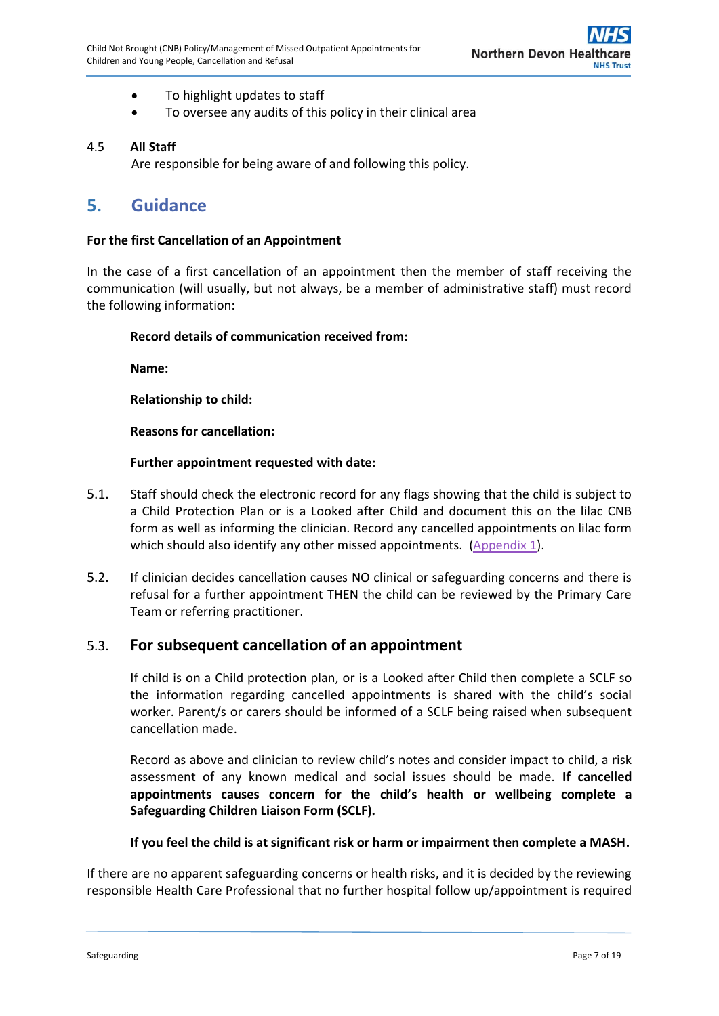- To highlight updates to staff
- To oversee any audits of this policy in their clinical area

## 4.5 **All Staff**

Are responsible for being aware of and following this policy.

## <span id="page-6-0"></span>**5. Guidance**

#### **For the first Cancellation of an Appointment**

In the case of a first cancellation of an appointment then the member of staff receiving the communication (will usually, but not always, be a member of administrative staff) must record the following information:

## **Record details of communication received from:**

**Name:**

**Relationship to child:**

**Reasons for cancellation:**

## **Further appointment requested with date:**

- 5.1. Staff should check the electronic record for any flags showing that the child is subject to a Child Protection Plan or is a Looked after Child and document this on the lilac CNB form as well as informing the clinician. Record any cancelled appointments on lilac form which should also identify any other missed appointments. [\(Appendix 1\)](#page-12-0).
- 5.2. If clinician decides cancellation causes NO clinical or safeguarding concerns and there is refusal for a further appointment THEN the child can be reviewed by the Primary Care Team or referring practitioner.

## 5.3. **For subsequent cancellation of an appointment**

If child is on a Child protection plan, or is a Looked after Child then complete a SCLF so the information regarding cancelled appointments is shared with the child's social worker. Parent/s or carers should be informed of a SCLF being raised when subsequent cancellation made.

Record as above and clinician to review child's notes and consider impact to child, a risk assessment of any known medical and social issues should be made. **If cancelled appointments causes concern for the child's health or wellbeing complete a Safeguarding Children Liaison Form (SCLF).**

#### **If you feel the child is at significant risk or harm or impairment then complete a MASH.**

If there are no apparent safeguarding concerns or health risks, and it is decided by the reviewing responsible Health Care Professional that no further hospital follow up/appointment is required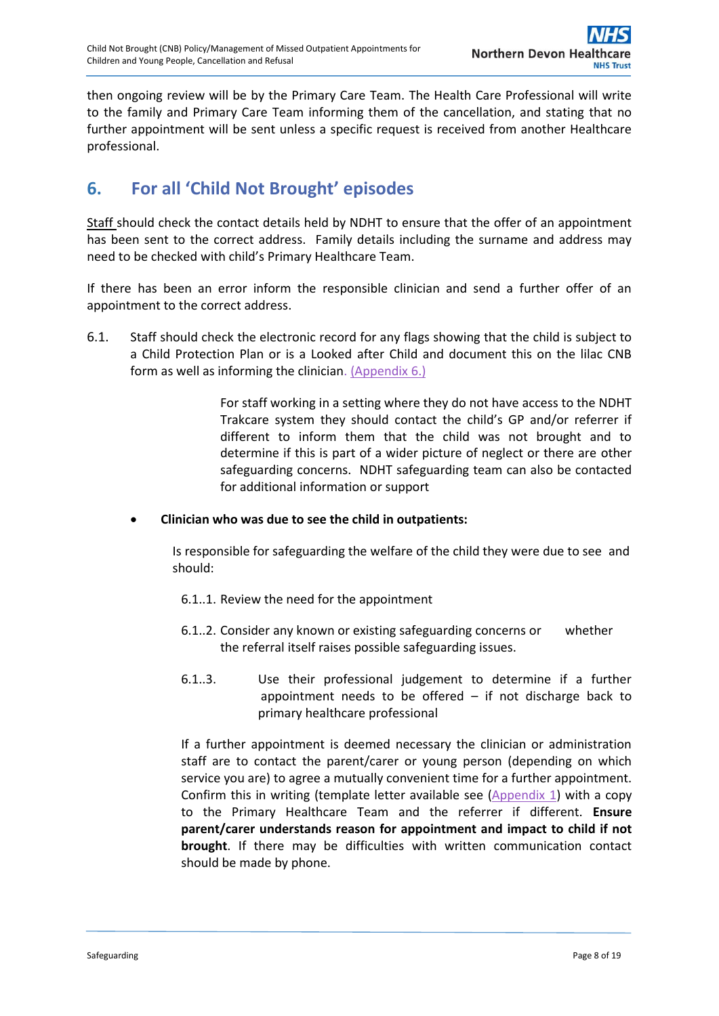then ongoing review will be by the Primary Care Team. The Health Care Professional will write to the family and Primary Care Team informing them of the cancellation, and stating that no further appointment will be sent unless a specific request is received from another Healthcare professional.

# <span id="page-7-0"></span>**6. For all 'Child Not Brought' episodes**

Staff should check the contact details held by NDHT to ensure that the offer of an appointment has been sent to the correct address. Family details including the surname and address may need to be checked with child's Primary Healthcare Team.

If there has been an error inform the responsible clinician and send a further offer of an appointment to the correct address.

6.1. Staff should check the electronic record for any flags showing that the child is subject to a Child Protection Plan or is a Looked after Child and document this on the lilac CNB form as well as informing the clinicia[n. \(Appendix 6.\)](#page-17-0)

> For staff working in a setting where they do not have access to the NDHT Trakcare system they should contact the child's GP and/or referrer if different to inform them that the child was not brought and to determine if this is part of a wider picture of neglect or there are other safeguarding concerns. NDHT safeguarding team can also be contacted for additional information or support

## **Clinician who was due to see the child in outpatients:**

Is responsible for safeguarding the welfare of the child they were due to see and should:

- 6.1..1. Review the need for the appointment
- 6.1..2. Consider any known or existing safeguarding concerns or whether the referral itself raises possible safeguarding issues.
- 6.1..3. Use their professional judgement to determine if a further appointment needs to be offered  $-$  if not discharge back to primary healthcare professional

If a further appointment is deemed necessary the clinician or administration staff are to contact the parent/carer or young person (depending on which service you are) to agree a mutually convenient time for a further appointment. Confirm this in writing (template letter available see [\(Appendix 1\)](#page-12-0) with a copy to the Primary Healthcare Team and the referrer if different. **Ensure parent/carer understands reason for appointment and impact to child if not brought**. If there may be difficulties with written communication contact should be made by phone.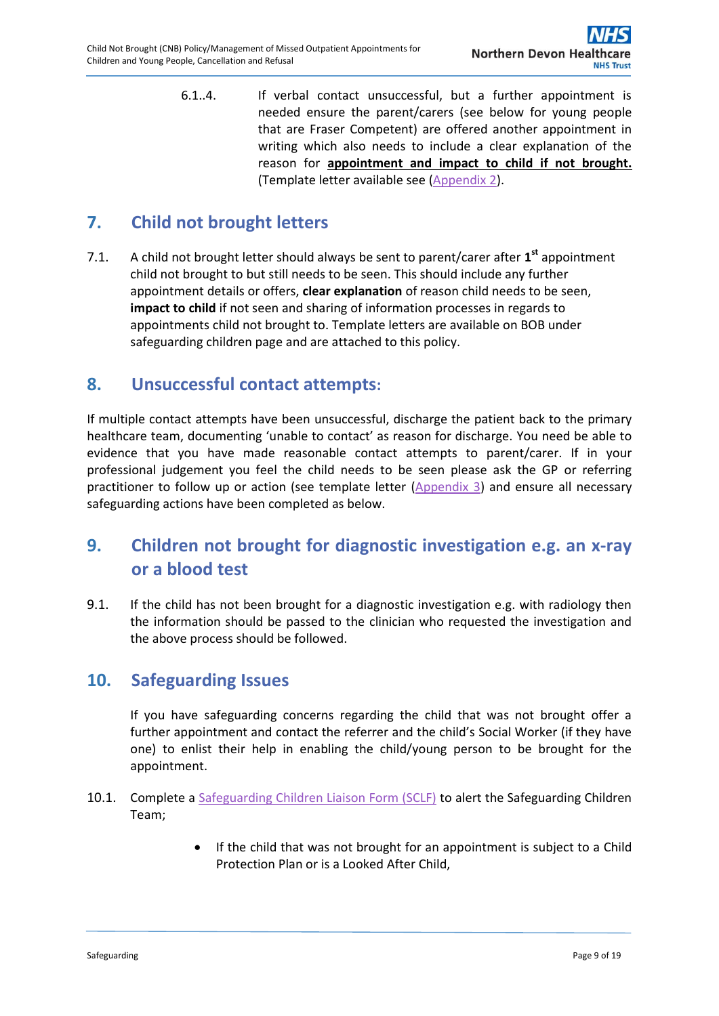6.1..4. If verbal contact unsuccessful, but a further appointment is needed ensure the parent/carers (see below for young people that are Fraser Competent) are offered another appointment in writing which also needs to include a clear explanation of the reason for **appointment and impact to child if not brought.** (Template letter available see [\(Appendix](#page-13-0) 2).

# <span id="page-8-0"></span>**7. Child not brought letters**

7.1. A child not brought letter should always be sent to parent/carer after **1 st** appointment child not brought to but still needs to be seen. This should include any further appointment details or offers, **clear explanation** of reason child needs to be seen, **impact to child** if not seen and sharing of information processes in regards to appointments child not brought to. Template letters are available on BOB under safeguarding children page and are attached to this policy.

## <span id="page-8-1"></span>**8. Unsuccessful contact attempts:**

If multiple contact attempts have been unsuccessful, discharge the patient back to the primary healthcare team, documenting 'unable to contact' as reason for discharge. You need be able to evidence that you have made reasonable contact attempts to parent/carer. If in your professional judgement you feel the child needs to be seen please ask the GP or referring practitioner to follow up or action (see template letter [\(Appendix](#page-14-0) 3) and ensure all necessary safeguarding actions have been completed as below.

# <span id="page-8-2"></span>**9. Children not brought for diagnostic investigation e.g. an x-ray or a blood test**

9.1. If the child has not been brought for a diagnostic investigation e.g. with radiology then the information should be passed to the clinician who requested the investigation and the above process should be followed.

## <span id="page-8-3"></span>**10. Safeguarding Issues**

If you have safeguarding concerns regarding the child that was not brought offer a further appointment and contact the referrer and the child's Social Worker (if they have one) to enlist their help in enabling the child/young person to be brought for the appointment.

- 10.1. Complete a [Safeguarding Children Liaison Form \(SCLF\)](http://ndht.ndevon.swest.nhs.uk/safeguarding-children-2/child-protection-referral-point-cprp/) to alert the Safeguarding Children Team;
	- If the child that was not brought for an appointment is subject to a Child Protection Plan or is a Looked After Child,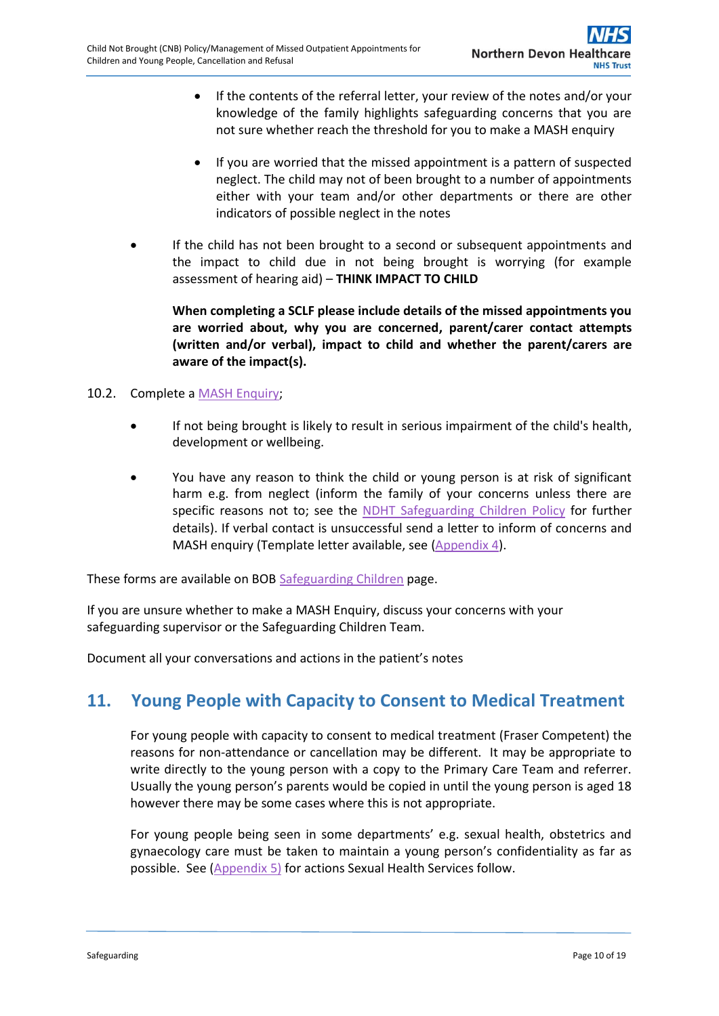- If the contents of the referral letter, your review of the notes and/or your knowledge of the family highlights safeguarding concerns that you are not sure whether reach the threshold for you to make a MASH enquiry
- If you are worried that the missed appointment is a pattern of suspected neglect. The child may not of been brought to a number of appointments either with your team and/or other departments or there are other indicators of possible neglect in the notes
- If the child has not been brought to a second or subsequent appointments and the impact to child due in not being brought is worrying (for example assessment of hearing aid) – **THINK IMPACT TO CHILD**

**When completing a SCLF please include details of the missed appointments you are worried about, why you are concerned, parent/carer contact attempts (written and/or verbal), impact to child and whether the parent/carers are aware of the impact(s).**

## 10.2. Complete a [MASH Enquiry;](http://ndht.ndevon.swest.nhs.uk/safeguarding-children-2/what-to-do-if-you-have-concerns-for-a-child/)

- If not being brought is likely to result in serious impairment of the child's health, development or wellbeing.
- You have any reason to think the child or young person is at risk of significant harm e.g. from neglect (inform the family of your concerns unless there are specific reasons not to; see the [NDHT Safeguarding Children Policy](http://www.northdevonhealth.nhs.uk/wp-content/uploads/2015/12/Safeguarding-Children-Policy-V2.1-Jan17.pdf) for further details). If verbal contact is unsuccessful send a letter to inform of concerns and MASH enquiry (Template letter available, see [\(Appendix 4\)](#page-15-0).

These forms are available on BOB [Safeguarding Children](http://ndht.ndevon.swest.nhs.uk/safeguarding-children-2/) page.

If you are unsure whether to make a MASH Enquiry, discuss your concerns with your safeguarding supervisor or the Safeguarding Children Team.

Document all your conversations and actions in the patient's notes

## <span id="page-9-0"></span>**11. Young People with Capacity to Consent to Medical Treatment**

For young people with capacity to consent to medical treatment (Fraser Competent) the reasons for non-attendance or cancellation may be different. It may be appropriate to write directly to the young person with a copy to the Primary Care Team and referrer. Usually the young person's parents would be copied in until the young person is aged 18 however there may be some cases where this is not appropriate.

For young people being seen in some departments' e.g. sexual health, obstetrics and gynaecology care must be taken to maintain a young person's confidentiality as far as possible. See [\(Appendix 5\)](#page-16-0) for actions Sexual Health Services follow.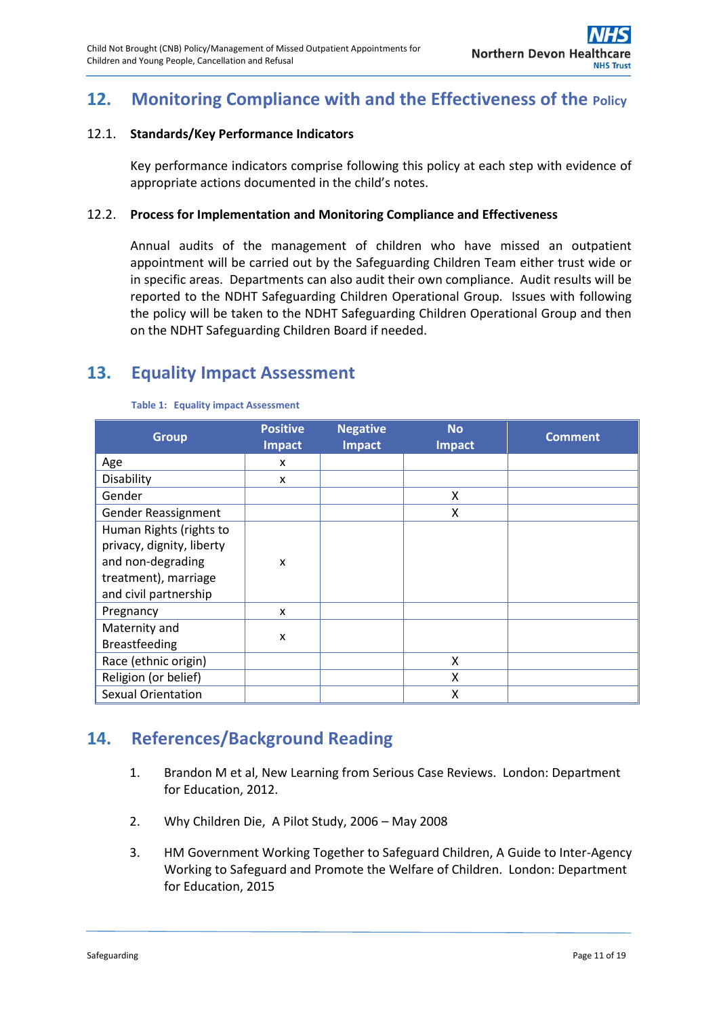# <span id="page-10-0"></span>**12. Monitoring Compliance with and the Effectiveness of the Policy**

## 12.1. **Standards/Key Performance Indicators**

Key performance indicators comprise following this policy at each step with evidence of appropriate actions documented in the child's notes.

## 12.2. **Process for Implementation and Monitoring Compliance and Effectiveness**

Annual audits of the management of children who have missed an outpatient appointment will be carried out by the Safeguarding Children Team either trust wide or in specific areas. Departments can also audit their own compliance. Audit results will be reported to the NDHT Safeguarding Children Operational Group. Issues with following the policy will be taken to the NDHT Safeguarding Children Operational Group and then on the NDHT Safeguarding Children Board if needed.

## <span id="page-10-1"></span>**13. Equality Impact Assessment**

| <b>Group</b>              | <b>Positive</b><br><b>Impact</b> | <b>Negative</b><br><b>Impact</b> | <b>No</b><br><b>Impact</b> | <b>Comment</b> |
|---------------------------|----------------------------------|----------------------------------|----------------------------|----------------|
| Age                       | x                                |                                  |                            |                |
| Disability                | x                                |                                  |                            |                |
| Gender                    |                                  |                                  | X                          |                |
| Gender Reassignment       |                                  |                                  | X                          |                |
| Human Rights (rights to   |                                  |                                  |                            |                |
| privacy, dignity, liberty |                                  |                                  |                            |                |
| and non-degrading         | X                                |                                  |                            |                |
| treatment), marriage      |                                  |                                  |                            |                |
| and civil partnership     |                                  |                                  |                            |                |
| Pregnancy                 | X                                |                                  |                            |                |
| Maternity and             | X                                |                                  |                            |                |
| <b>Breastfeeding</b>      |                                  |                                  |                            |                |
| Race (ethnic origin)      |                                  |                                  | X                          |                |
| Religion (or belief)      |                                  |                                  | X                          |                |
| <b>Sexual Orientation</b> |                                  |                                  | Χ                          |                |

#### **Table 1: Equality impact Assessment**

## <span id="page-10-3"></span><span id="page-10-2"></span>**14. References/Background Reading**

- 1. Brandon M et al, New Learning from Serious Case Reviews. London: Department for Education, 2012.
- <span id="page-10-4"></span>2. Why Children Die, A Pilot Study, 2006 – May 2008
- <span id="page-10-5"></span>3. HM Government Working Together to Safeguard Children, A Guide to Inter-Agency Working to Safeguard and Promote the Welfare of Children. London: Department for Education, 2015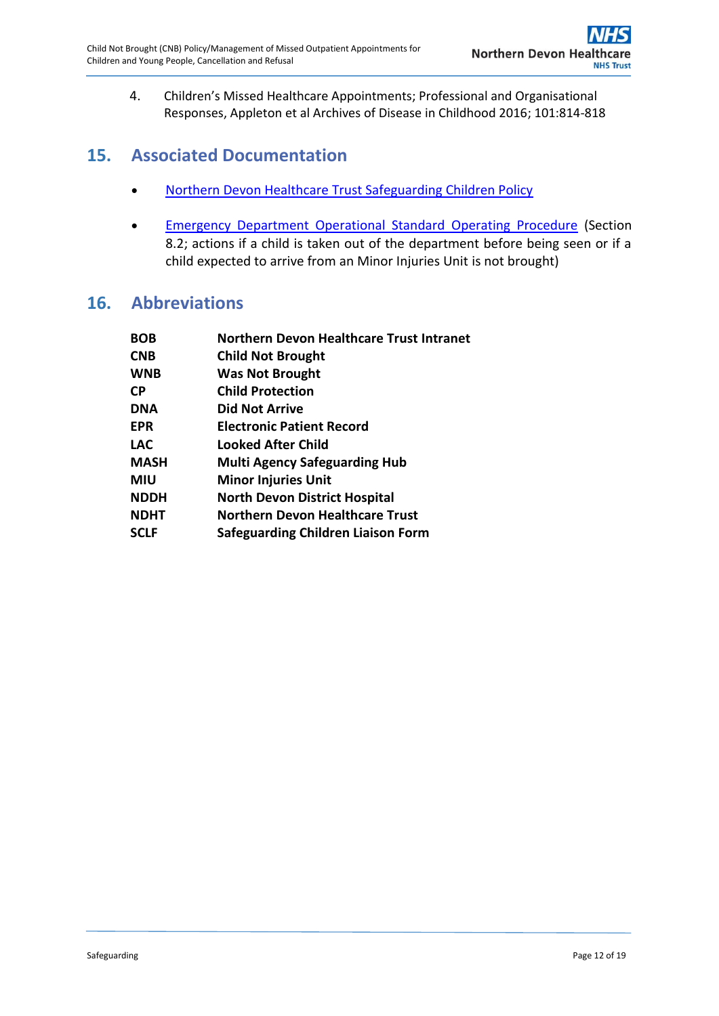4. Children's Missed Healthcare Appointments; Professional and Organisational Responses, Appleton et al Archives of Disease in Childhood 2016; 101:814-818

## <span id="page-11-0"></span>**15. Associated Documentation**

- [Northern Devon Healthcare Trust Safeguarding Children Policy](http://www.northdevonhealth.nhs.uk/wp-content/uploads/2015/12/Safeguarding-Children-Policy-V2.1-Jan17.pdf)
- **[Emergency Department Operational Standard Operating Procedure](http://ndht.ndevon.swest.nhs.uk/wp-content/uploads/2016/04/Emergency-Department-Operational-SOP-v1.1-Mar2017.pdf) (Section** 8.2; actions if a child is taken out of the department before being seen or if a child expected to arrive from an Minor Injuries Unit is not brought)

## <span id="page-11-1"></span>**16. Abbreviations**

| <b>BOB</b> | <b>Northern Devon Healthcare Trust Intranet</b> |
|------------|-------------------------------------------------|
| <b>CNB</b> | <b>Child Not Brought</b>                        |
| WNB        | <b>Was Not Brought</b>                          |
| СP         | <b>Child Protection</b>                         |
| DNA        | <b>Did Not Arrive</b>                           |
| EPR        | <b>Electronic Patient Record</b>                |
| LAC        | Looked After Child                              |
| MASH       | <b>Multi Agency Safeguarding Hub</b>            |
| MIU        | <b>Minor Injuries Unit</b>                      |
| NDDH       | <b>North Devon District Hospital</b>            |
| NDHT       | <b>Northern Devon Healthcare Trust</b>          |
| SCLF       | Safeguarding Children Liaison Form              |
|            |                                                 |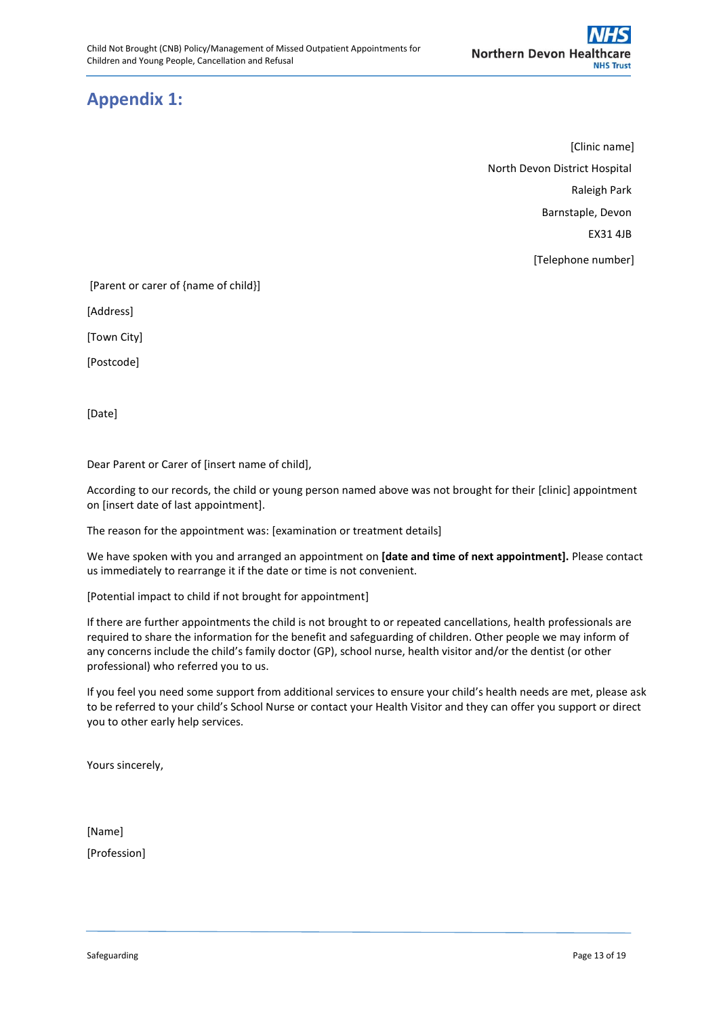# <span id="page-12-0"></span>**Appendix 1:**

[Clinic name] North Devon District Hospital Raleigh Park Barnstaple, Devon EX31 4JB [Telephone number]

[Parent or carer of {name of child}]

[Address]

[Town City]

[Postcode]

[Date]

Dear Parent or Carer of [insert name of child],

According to our records, the child or young person named above was not brought for their [clinic] appointment on [insert date of last appointment].

The reason for the appointment was: [examination or treatment details]

We have spoken with you and arranged an appointment on **[date and time of next appointment].** Please contact us immediately to rearrange it if the date or time is not convenient.

[Potential impact to child if not brought for appointment]

If there are further appointments the child is not brought to or repeated cancellations, health professionals are required to share the information for the benefit and safeguarding of children. Other people we may inform of any concerns include the child's family doctor (GP), school nurse, health visitor and/or the dentist (or other professional) who referred you to us.

If you feel you need some support from additional services to ensure your child's health needs are met, please ask to be referred to your child's School Nurse or contact your Health Visitor and they can offer you support or direct you to other early help services.

Yours sincerely,

[Name]

[Profession]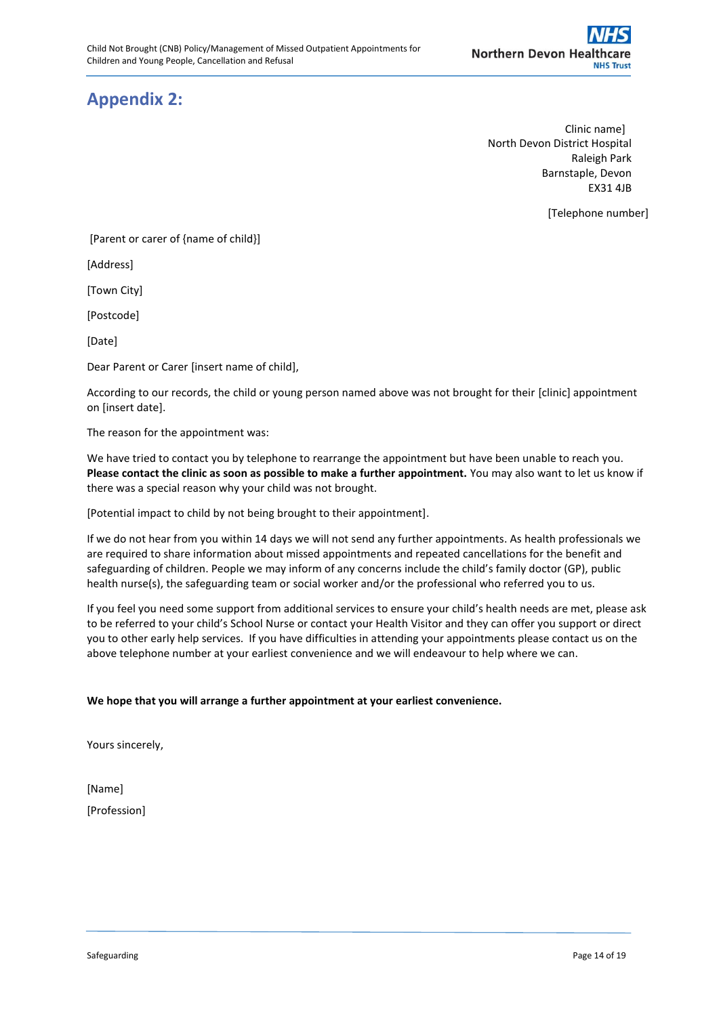# <span id="page-13-0"></span>**Appendix 2:**

Clinic name] North Devon District Hospital Raleigh Park Barnstaple, Devon EX31 4JB

[Telephone number]

[Parent or carer of {name of child}]

[Address]

[Town City]

[Postcode]

[Date]

Dear Parent or Carer [insert name of child],

According to our records, the child or young person named above was not brought for their [clinic] appointment on [insert date].

The reason for the appointment was:

We have tried to contact you by telephone to rearrange the appointment but have been unable to reach you. **Please contact the clinic as soon as possible to make a further appointment.** You may also want to let us know if there was a special reason why your child was not brought.

[Potential impact to child by not being brought to their appointment].

If we do not hear from you within 14 days we will not send any further appointments. As health professionals we are required to share information about missed appointments and repeated cancellations for the benefit and safeguarding of children. People we may inform of any concerns include the child's family doctor (GP), public health nurse(s), the safeguarding team or social worker and/or the professional who referred you to us.

If you feel you need some support from additional services to ensure your child's health needs are met, please ask to be referred to your child's School Nurse or contact your Health Visitor and they can offer you support or direct you to other early help services. If you have difficulties in attending your appointments please contact us on the above telephone number at your earliest convenience and we will endeavour to help where we can.

#### **We hope that you will arrange a further appointment at your earliest convenience.**

Yours sincerely,

[Name] [Profession]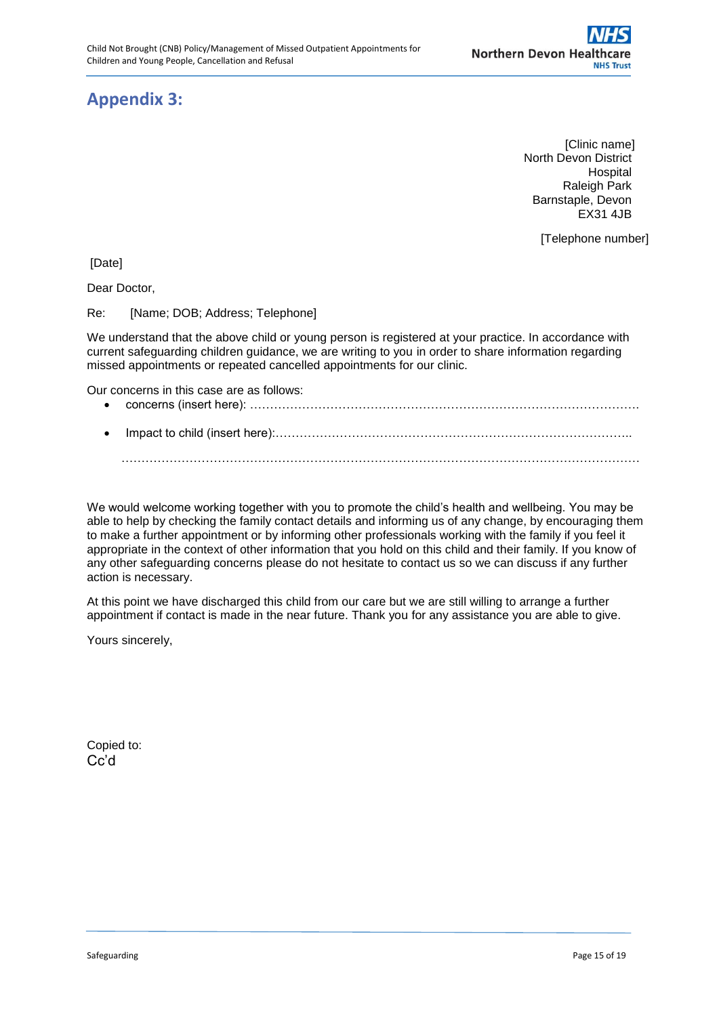# <span id="page-14-0"></span>**Appendix 3:**

 [Clinic name] North Devon District Hospital Raleigh Park Barnstaple, Devon EX31 4JB

[Telephone number]

[Date]

Dear Doctor,

Re: [Name: DOB; Address: Telephone]

We understand that the above child or young person is registered at your practice. In accordance with current safeguarding children guidance, we are writing to you in order to share information regarding missed appointments or repeated cancelled appointments for our clinic.

Our concerns in this case are as follows:

- concerns (insert here): …………………………………………………………………………………….
- Impact to child (insert here):……………………………………………………………………………..

…………………………………………………………………………………………………………………

We would welcome working together with you to promote the child's health and wellbeing. You may be able to help by checking the family contact details and informing us of any change, by encouraging them to make a further appointment or by informing other professionals working with the family if you feel it appropriate in the context of other information that you hold on this child and their family. If you know of any other safeguarding concerns please do not hesitate to contact us so we can discuss if any further action is necessary.

At this point we have discharged this child from our care but we are still willing to arrange a further appointment if contact is made in the near future. Thank you for any assistance you are able to give.

Yours sincerely,

Copied to: Cc'd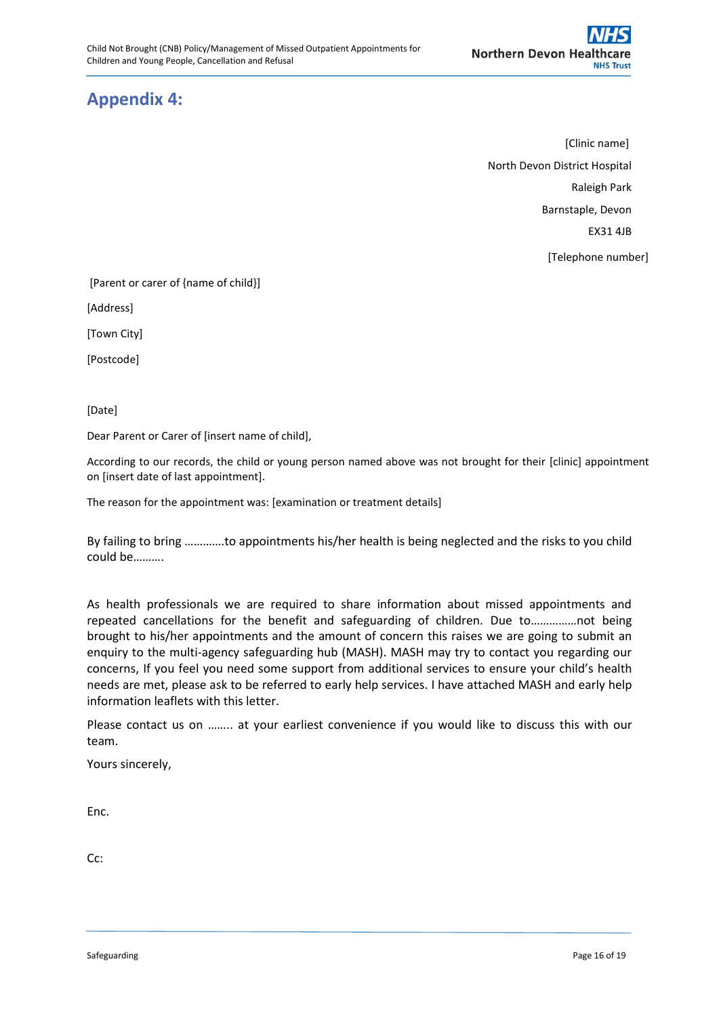# <span id="page-15-0"></span>**Appendix 4:**

[Clinic name] North Devon District Hospital Raleigh Park Barnstaple, Devon EX31 4JB [Telephone number]

[Parent or carer of {name of child}]

[Address]

[Town City]

[Postcode]

[Date]

Dear Parent or Carer of [insert name of child],

According to our records, the child or young person named above was not brought for their [clinic] appointment on [insert date of last appointment].

The reason for the appointment was: [examination or treatment details]

By failing to bring ………….to appointments his/her health is being neglected and the risks to you child could be……….

As health professionals we are required to share information about missed appointments and repeated cancellations for the benefit and safeguarding of children. Due to……………not being brought to his/her appointments and the amount of concern this raises we are going to submit an enquiry to the multi-agency safeguarding hub (MASH). MASH may try to contact you regarding our concerns, If you feel you need some support from additional services to ensure your child's health needs are met, please ask to be referred to early help services. I have attached MASH and early help information leaflets with this letter.

Please contact us on …….. at your earliest convenience if you would like to discuss this with our team.

Yours sincerely,

Enc.

Cc: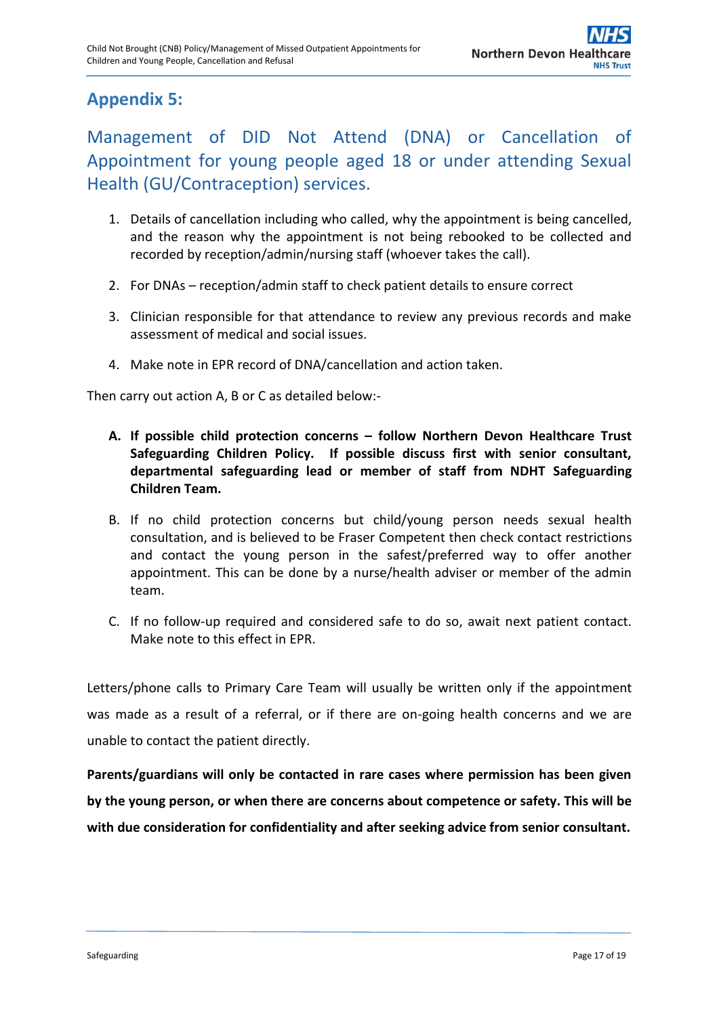# <span id="page-16-0"></span>**Appendix 5:**

Management of DID Not Attend (DNA) or Cancellation of Appointment for young people aged 18 or under attending Sexual Health (GU/Contraception) services.

- 1. Details of cancellation including who called, why the appointment is being cancelled, and the reason why the appointment is not being rebooked to be collected and recorded by reception/admin/nursing staff (whoever takes the call).
- 2. For DNAs reception/admin staff to check patient details to ensure correct
- 3. Clinician responsible for that attendance to review any previous records and make assessment of medical and social issues.
- 4. Make note in EPR record of DNA/cancellation and action taken.

Then carry out action A, B or C as detailed below:-

- **A. If possible child protection concerns – follow Northern Devon Healthcare Trust Safeguarding Children Policy. If possible discuss first with senior consultant, departmental safeguarding lead or member of staff from NDHT Safeguarding Children Team.**
- B. If no child protection concerns but child/young person needs sexual health consultation, and is believed to be Fraser Competent then check contact restrictions and contact the young person in the safest/preferred way to offer another appointment. This can be done by a nurse/health adviser or member of the admin team.
- C. If no follow-up required and considered safe to do so, await next patient contact. Make note to this effect in EPR.

Letters/phone calls to Primary Care Team will usually be written only if the appointment was made as a result of a referral, or if there are on-going health concerns and we are unable to contact the patient directly.

**Parents/guardians will only be contacted in rare cases where permission has been given by the young person, or when there are concerns about competence or safety. This will be with due consideration for confidentiality and after seeking advice from senior consultant.**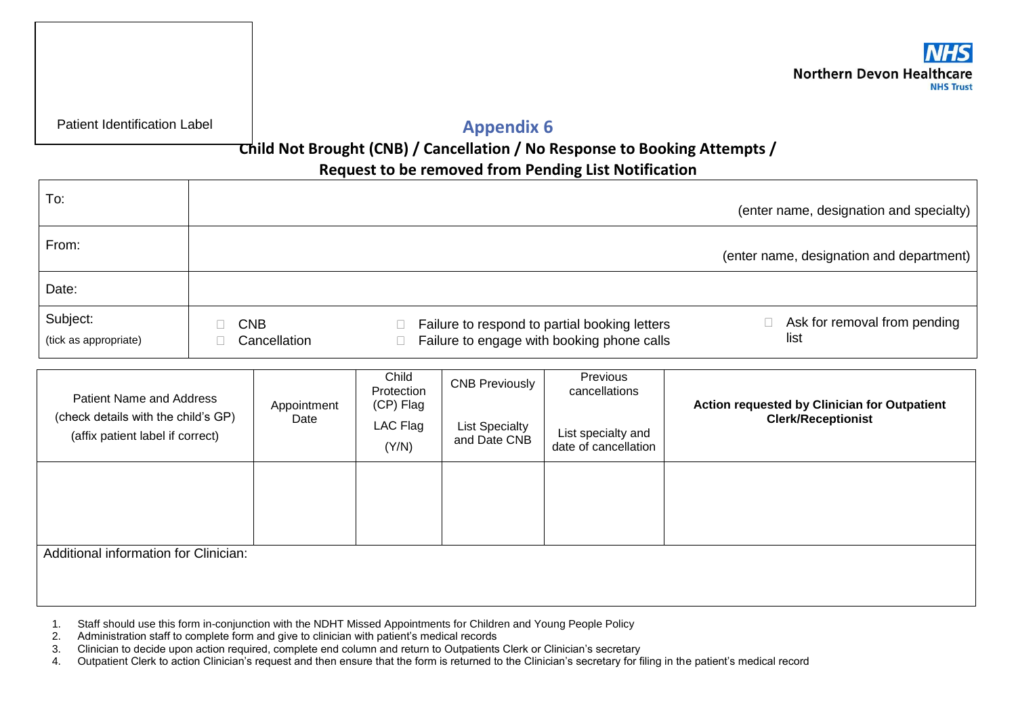

Patient Identification Label

**Appendix 6**

## **Child Not Brought (CNB) / Cancellation / No Response to Booking Attempts /**

## **Request to be removed from Pending List Notification**

| To:                               |                            |                                                                                             | (enter name, designation and specialty)  |
|-----------------------------------|----------------------------|---------------------------------------------------------------------------------------------|------------------------------------------|
| From:                             |                            |                                                                                             | (enter name, designation and department) |
| Date:                             |                            |                                                                                             |                                          |
| Subject:<br>(tick as appropriate) | <b>CNB</b><br>Cancellation | Failure to respond to partial booking letters<br>Failure to engage with booking phone calls | Ask for removal from pending<br>list     |

<span id="page-17-0"></span>

| <b>Patient Name and Address</b><br>(check details with the child's GP)<br>(affix patient label if correct) | Appointment<br>Date | Child<br>Protection<br>(CP) Flag<br>LAC Flag<br>(Y/N) | <b>CNB Previously</b><br><b>List Specialty</b><br>and Date CNB | Previous<br>cancellations<br>List specialty and<br>date of cancellation | <b>Action requested by Clinician for Outpatient</b><br><b>Clerk/Receptionist</b> |  |
|------------------------------------------------------------------------------------------------------------|---------------------|-------------------------------------------------------|----------------------------------------------------------------|-------------------------------------------------------------------------|----------------------------------------------------------------------------------|--|
|                                                                                                            |                     |                                                       |                                                                |                                                                         |                                                                                  |  |
|                                                                                                            |                     |                                                       |                                                                |                                                                         |                                                                                  |  |
|                                                                                                            |                     |                                                       |                                                                |                                                                         |                                                                                  |  |
| Additional information for Clinician:                                                                      |                     |                                                       |                                                                |                                                                         |                                                                                  |  |
|                                                                                                            |                     |                                                       |                                                                |                                                                         |                                                                                  |  |

- 1. Staff should use this form in-conjunction with the NDHT Missed Appointments for Children and Young People Policy
- 2. Administration staff to complete form and give to clinician with patient's medical records
- 3. Clinician to decide upon action required, complete end column and return to Outpatients Clerk or Clinician's secretary
- 4. Outpatient Clerk to action Clinician's request and then ensure that the form is returned to the Clinician's secretary for filing in the patient's medical record